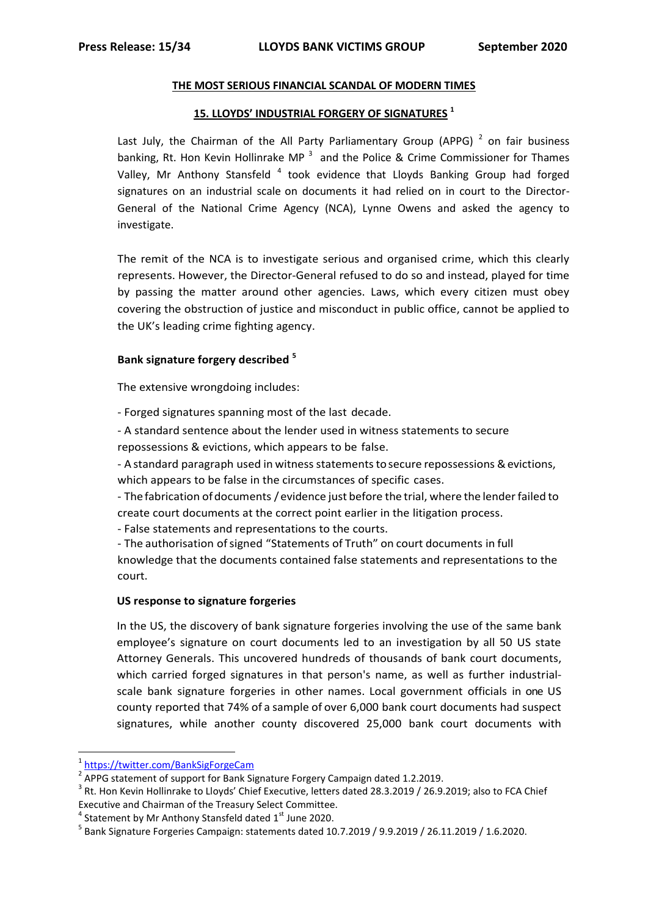#### **THE MOST SERIOUS FINANCIAL SCANDAL OF MODERN TIMES**

## **15. LLOYDS' INDUSTRIAL FORGERY OF SIGNATURES <sup>1</sup>**

Last July, the Chairman of the All Party Parliamentary Group (APPG)<sup>2</sup> on fair business banking, Rt. Hon Kevin Hollinrake MP  $3$  and the Police & Crime Commissioner for Thames Valley, Mr Anthony Stansfeld<sup>4</sup> took evidence that Lloyds Banking Group had forged signatures on an industrial scale on documents it had relied on in court to the Director-General of the National Crime Agency (NCA), Lynne Owens and asked the agency to investigate.

The remit of the NCA is to investigate serious and organised crime, which this clearly represents. However, the Director-General refused to do so and instead, played for time by passing the matter around other agencies. Laws, which every citizen must obey covering the obstruction of justice and misconduct in public office, cannot be applied to the UK's leading crime fighting agency.

### **Bank signature forgery described <sup>5</sup>**

The extensive wrongdoing includes:

- Forged signatures spanning most of the last decade.

- A standard sentence about the lender used in witness statements to secure repossessions & evictions, which appears to be false.

- A standard paragraph used in witness statements to secure repossessions & evictions, which appears to be false in the circumstances of specific cases.

- The fabrication ofdocuments / evidence just before the trial, where the lenderfailed to create court documents at the correct point earlier in the litigation process.

- False statements and representations to the courts.

- The authorisation ofsigned "Statements of Truth" on court documents in full knowledge that the documents contained false statements and representations to the court.

### **US response to signature forgeries**

In the US, the discovery of bank signature forgeries involving the use of the same bank employee's signature on court documents led to an investigation by all 50 US state Attorney Generals. This uncovered hundreds of thousands of bank court documents, which carried forged signatures in that person's name, as well as further industrialscale bank signature forgeries in other names. Local government officials in one US county reported that 74% of a sample of over 6,000 bank court documents had suspect signatures, while another county discovered 25,000 bank court documents with

**.** 

<sup>1</sup> <https://twitter.com/BankSigForgeCam>

 $^2$  APPG statement of support for Bank Signature Forgery Campaign dated 1.2.2019.

<sup>&</sup>lt;sup>3</sup> Rt. Hon Kevin Hollinrake to Lloyds' Chief Executive, letters dated 28.3.2019 / 26.9.2019; also to FCA Chief Executive and Chairman of the Treasury Select Committee.

 $^4$  Statement by Mr Anthony Stansfeld dated 1st June 2020.

<sup>5</sup> Bank Signature Forgeries Campaign: statements dated 10.7.2019 / 9.9.2019 / 26.11.2019 / 1.6.2020.